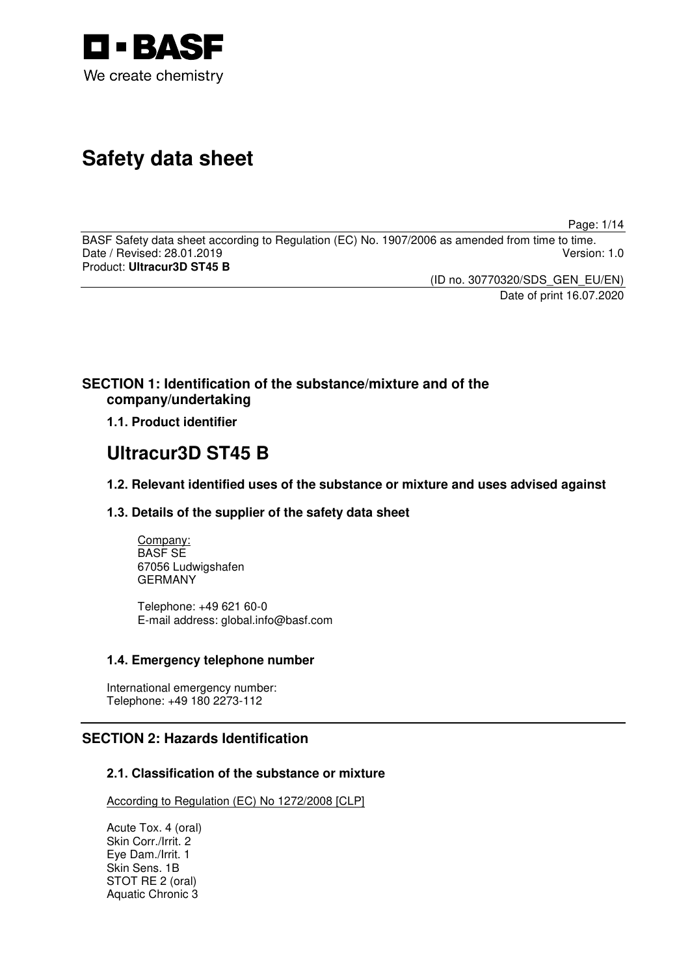

# **Safety data sheet**

Page: 1/14

BASF Safety data sheet according to Regulation (EC) No. 1907/2006 as amended from time to time. Date / Revised: 28.01.2019 Product: **Ultracur3D ST45 B** 

(ID no. 30770320/SDS\_GEN\_EU/EN)

Date of print 16.07.2020

# **SECTION 1: Identification of the substance/mixture and of the company/undertaking**

**1.1. Product identifier**

# **Ultracur3D ST45 B**

**1.2. Relevant identified uses of the substance or mixture and uses advised against**

# **1.3. Details of the supplier of the safety data sheet**

Company: BASF SE 67056 Ludwigshafen GERMANY

Telephone: +49 621 60-0 E-mail address: global.info@basf.com

# **1.4. Emergency telephone number**

International emergency number: Telephone: +49 180 2273-112

# **SECTION 2: Hazards Identification**

# **2.1. Classification of the substance or mixture**

According to Regulation (EC) No 1272/2008 [CLP]

Acute Tox. 4 (oral) Skin Corr./Irrit. 2 Eye Dam./Irrit. 1 Skin Sens. 1B STOT RE 2 (oral) Aquatic Chronic 3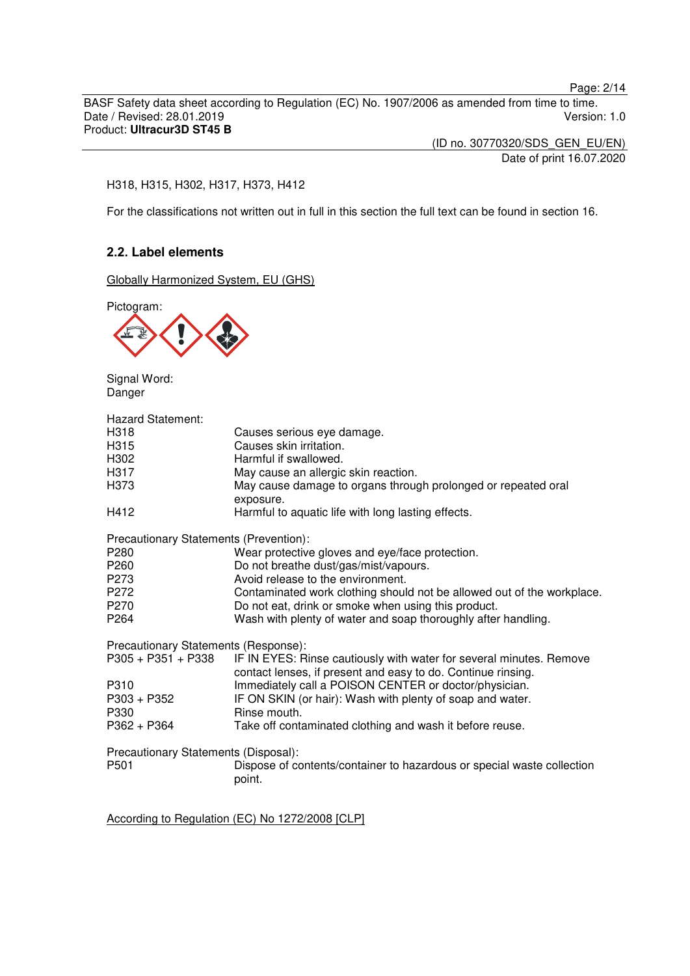Page: 2/14

BASF Safety data sheet according to Regulation (EC) No. 1907/2006 as amended from time to time. Date / Revised: 28.01.2019 Product: **Ultracur3D ST45 B** 

> (ID no. 30770320/SDS\_GEN\_EU/EN) Date of print 16.07.2020

#### H318, H315, H302, H317, H373, H412

For the classifications not written out in full in this section the full text can be found in section 16.

## **2.2. Label elements**

Globally Harmonized System, EU (GHS)

Pictogram:



Signal Word: Danger

| <b>Hazard Statement:</b>               |                                                                                                                                     |
|----------------------------------------|-------------------------------------------------------------------------------------------------------------------------------------|
| H318                                   | Causes serious eye damage.                                                                                                          |
| H315                                   | Causes skin irritation.                                                                                                             |
| H302                                   | Harmful if swallowed.                                                                                                               |
| H317                                   | May cause an allergic skin reaction.                                                                                                |
| H373                                   | May cause damage to organs through prolonged or repeated oral                                                                       |
|                                        | exposure.                                                                                                                           |
| H412                                   | Harmful to aquatic life with long lasting effects.                                                                                  |
| Precautionary Statements (Prevention): |                                                                                                                                     |
| P280                                   | Wear protective gloves and eye/face protection.                                                                                     |
| P260                                   | Do not breathe dust/gas/mist/vapours.                                                                                               |
| P273                                   | Avoid release to the environment.                                                                                                   |
| P272                                   | Contaminated work clothing should not be allowed out of the workplace.                                                              |
| P270                                   | Do not eat, drink or smoke when using this product.                                                                                 |
| P264                                   | Wash with plenty of water and soap thoroughly after handling.                                                                       |
| Precautionary Statements (Response):   |                                                                                                                                     |
| P305 + P351 + P338                     | IF IN EYES: Rinse cautiously with water for several minutes. Remove<br>contact lenses, if present and easy to do. Continue rinsing. |
| P310                                   | Immediately call a POISON CENTER or doctor/physician.                                                                               |
| P303 + P352                            | IF ON SKIN (or hair): Wash with plenty of soap and water.                                                                           |
| P330                                   | Rinse mouth.                                                                                                                        |
| P362 + P364                            | Take off contaminated clothing and wash it before reuse.                                                                            |
| Precautionary Statements (Disposal):   |                                                                                                                                     |
| P501                                   | Dispose of contents/container to hazardous or special waste collection                                                              |
|                                        | point.                                                                                                                              |
|                                        |                                                                                                                                     |
|                                        |                                                                                                                                     |

According to Regulation (EC) No 1272/2008 [CLP]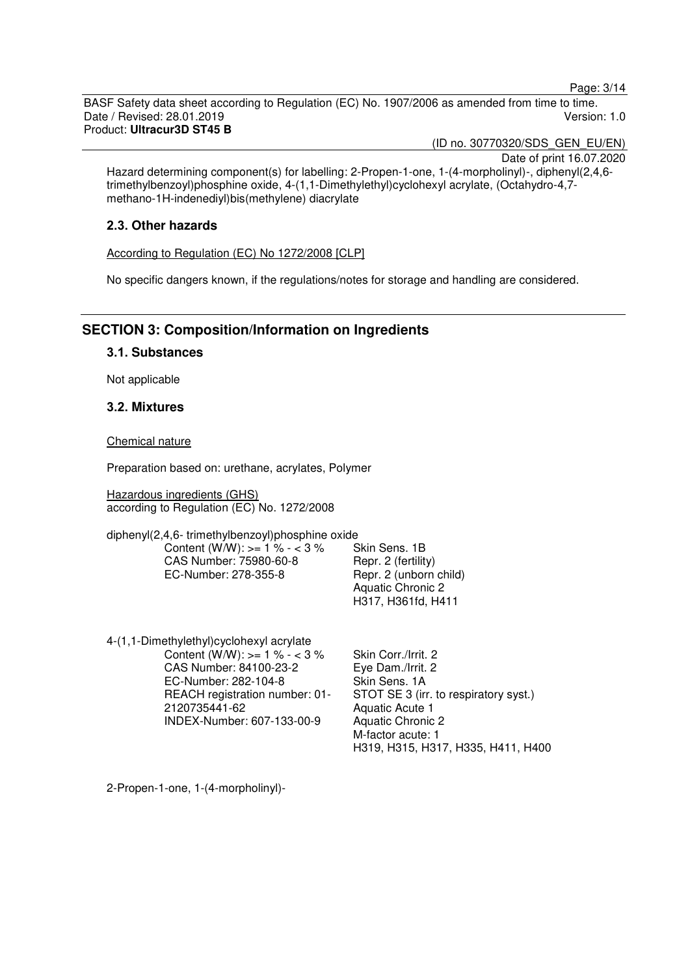Page: 3/14

BASF Safety data sheet according to Regulation (EC) No. 1907/2006 as amended from time to time. Date / Revised: 28.01.2019 Version: 1.0 Product: **Ultracur3D ST45 B** 

(ID no. 30770320/SDS\_GEN\_EU/EN)

Date of print 16.07.2020 Hazard determining component(s) for labelling: 2-Propen-1-one, 1-(4-morpholinyl)-, diphenyl(2,4,6 trimethylbenzoyl)phosphine oxide, 4-(1,1-Dimethylethyl)cyclohexyl acrylate, (Octahydro-4,7 methano-1H-indenediyl)bis(methylene) diacrylate

# **2.3. Other hazards**

According to Regulation (EC) No 1272/2008 [CLP]

No specific dangers known, if the regulations/notes for storage and handling are considered.

# **SECTION 3: Composition/Information on Ingredients**

## **3.1. Substances**

Not applicable

## **3.2. Mixtures**

Chemical nature

Preparation based on: urethane, acrylates, Polymer

Hazardous ingredients (GHS) according to Regulation (EC) No. 1272/2008

diphenyl(2,4,6- trimethylbenzoyl)phosphine oxide Content (W/W):  $> = 1 \% - 3 \%$ CAS Number: 75980-60-8 EC-Number: 278-355-8

Skin Sens. 1B Repr. 2 (fertility) Repr. 2 (unborn child) Aquatic Chronic 2 H317, H361fd, H411

4-(1,1-Dimethylethyl)cyclohexyl acrylate Content (W/W):  $> = 1 \% - 3 \%$ CAS Number: 84100-23-2 EC-Number: 282-104-8 REACH registration number: 01- 2120735441-62 INDEX-Number: 607-133-00-9

Skin Corr./Irrit. 2 Eye Dam./Irrit. 2 Skin Sens. 1A STOT SE 3 (irr. to respiratory syst.) Aquatic Acute 1 Aquatic Chronic 2 M-factor acute: 1 H319, H315, H317, H335, H411, H400

2-Propen-1-one, 1-(4-morpholinyl)-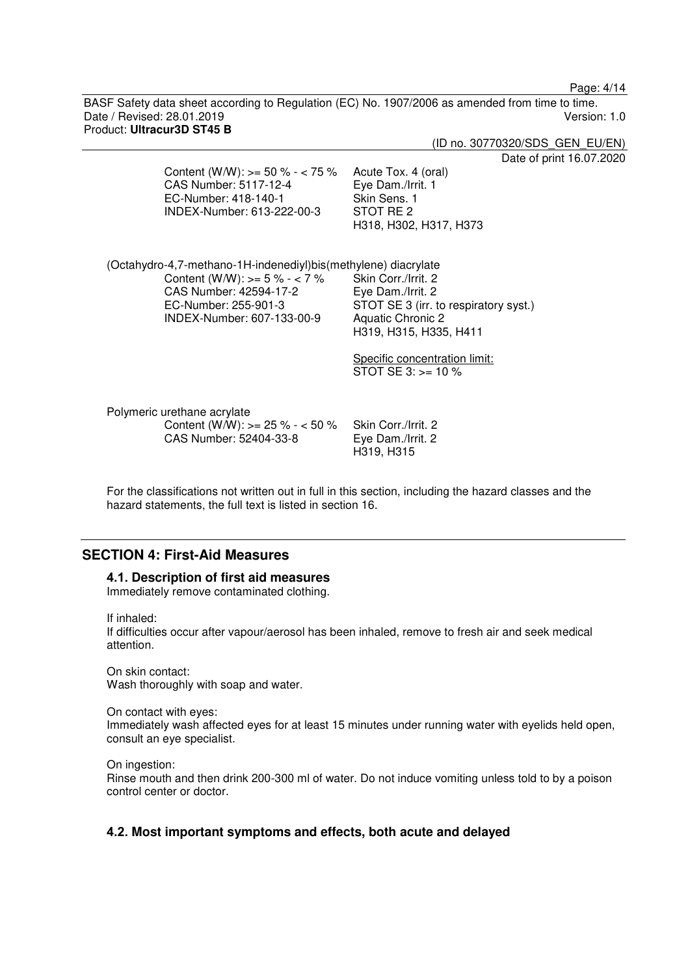Page: 4/14

BASF Safety data sheet according to Regulation (EC) No. 1907/2006 as amended from time to time. Date / Revised: 28.01.2019 Version: 1.0 Product: **Ultracur3D ST45 B** 

|                                                                                                                                                                                      | (ID no. 30770320/SDS GEN EU/EN)                                                                                                                                                                |
|--------------------------------------------------------------------------------------------------------------------------------------------------------------------------------------|------------------------------------------------------------------------------------------------------------------------------------------------------------------------------------------------|
| Content (W/W): $> = 50$ % - < 75 %<br>CAS Number: 5117-12-4<br>EC-Number: 418-140-1<br>INDEX-Number: 613-222-00-3                                                                    | Date of print 16.07.2020<br>Acute Tox. 4 (oral)<br>Eye Dam./Irrit. 1<br>Skin Sens. 1<br>STOT RE 2<br>H318, H302, H317, H373                                                                    |
| (Octahydro-4,7-methano-1H-indenediyl)bis(methylene) diacrylate<br>Content (W/W): $> = 5 \% - < 7 \%$<br>CAS Number: 42594-17-2<br>EC-Number: 255-901-3<br>INDEX-Number: 607-133-00-9 | Skin Corr./Irrit. 2<br>Eye Dam./Irrit. 2<br>STOT SE 3 (irr. to respiratory syst.)<br><b>Aquatic Chronic 2</b><br>H319, H315, H335, H411<br>Specific concentration limit:<br>STOT SE $3:>=10\%$ |
| Polymeric urethane acrylate<br>Content (W/W): $> = 25 \% - 50 \%$<br>CAS Number: 52404-33-8                                                                                          | Skin Corr./Irrit. 2<br>Eye Dam./Irrit. 2<br>H319, H315                                                                                                                                         |

For the classifications not written out in full in this section, including the hazard classes and the hazard statements, the full text is listed in section 16.

# **SECTION 4: First-Aid Measures**

#### **4.1. Description of first aid measures**

Immediately remove contaminated clothing.

If inhaled:

If difficulties occur after vapour/aerosol has been inhaled, remove to fresh air and seek medical attention.

On skin contact: Wash thoroughly with soap and water.

On contact with eyes:

Immediately wash affected eyes for at least 15 minutes under running water with eyelids held open, consult an eye specialist.

On ingestion:

Rinse mouth and then drink 200-300 ml of water. Do not induce vomiting unless told to by a poison control center or doctor.

## **4.2. Most important symptoms and effects, both acute and delayed**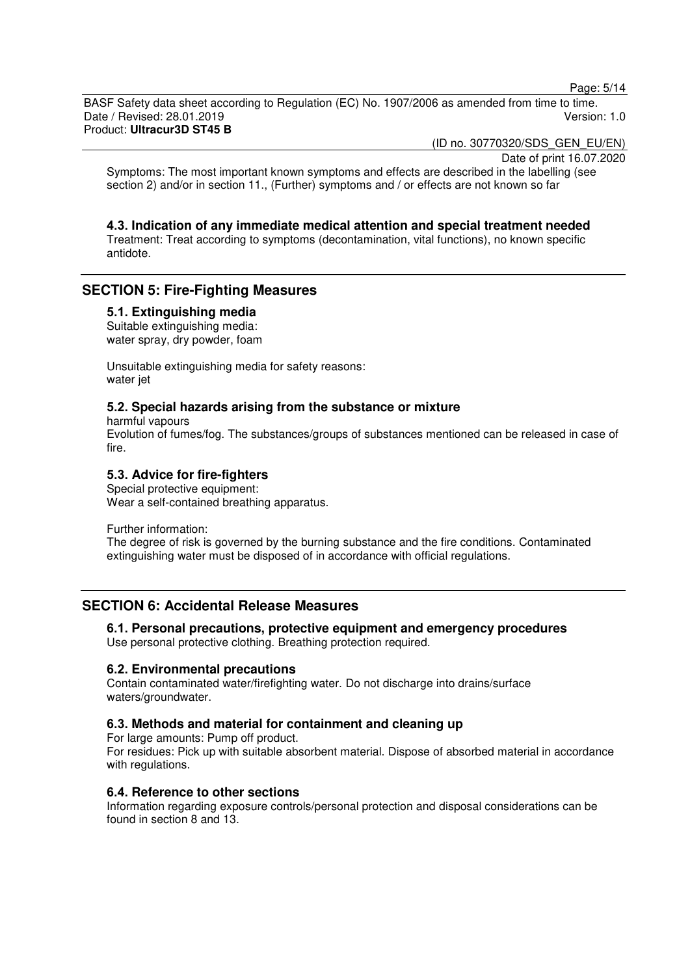Page: 5/14

BASF Safety data sheet according to Regulation (EC) No. 1907/2006 as amended from time to time. Date / Revised: 28.01.2019 Version: 1.0 Product: **Ultracur3D ST45 B** 

(ID no. 30770320/SDS\_GEN\_EU/EN)

Date of print 16.07.2020

Symptoms: The most important known symptoms and effects are described in the labelling (see section 2) and/or in section 11., (Further) symptoms and / or effects are not known so far

**4.3. Indication of any immediate medical attention and special treatment needed**  Treatment: Treat according to symptoms (decontamination, vital functions), no known specific antidote.

# **SECTION 5: Fire-Fighting Measures**

## **5.1. Extinguishing media**

Suitable extinguishing media: water spray, dry powder, foam

Unsuitable extinguishing media for safety reasons: water jet

#### **5.2. Special hazards arising from the substance or mixture**

harmful vapours Evolution of fumes/fog. The substances/groups of substances mentioned can be released in case of fire.

## **5.3. Advice for fire-fighters**

Special protective equipment: Wear a self-contained breathing apparatus.

Further information:

The degree of risk is governed by the burning substance and the fire conditions. Contaminated extinguishing water must be disposed of in accordance with official regulations.

# **SECTION 6: Accidental Release Measures**

**6.1. Personal precautions, protective equipment and emergency procedures**  Use personal protective clothing. Breathing protection required.

## **6.2. Environmental precautions**

Contain contaminated water/firefighting water. Do not discharge into drains/surface waters/groundwater.

## **6.3. Methods and material for containment and cleaning up**

For large amounts: Pump off product. For residues: Pick up with suitable absorbent material. Dispose of absorbed material in accordance with regulations.

## **6.4. Reference to other sections**

Information regarding exposure controls/personal protection and disposal considerations can be found in section 8 and 13.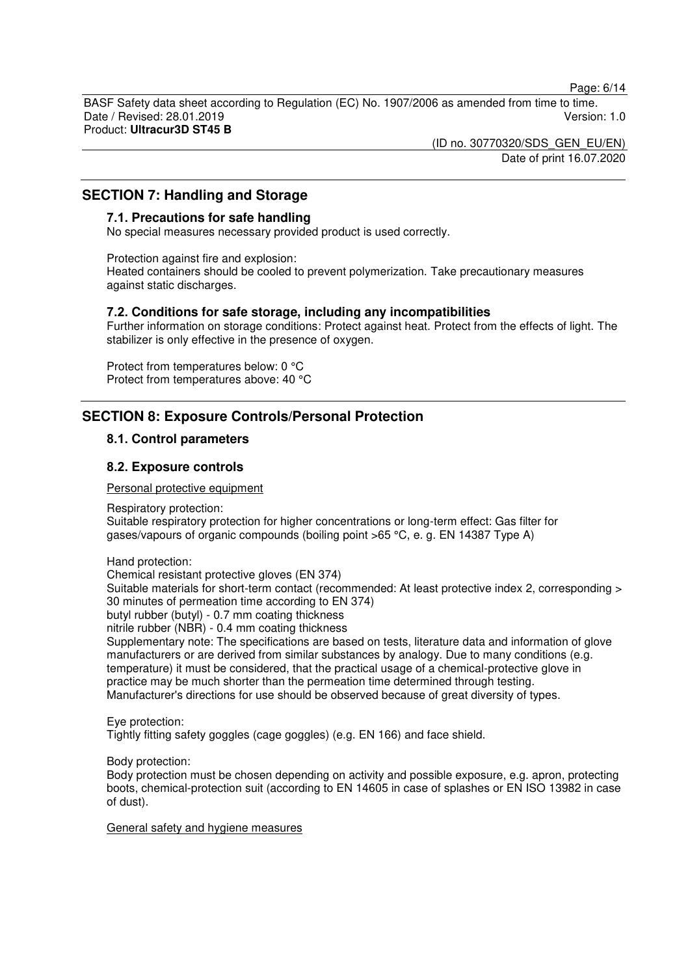Page: 6/14

BASF Safety data sheet according to Regulation (EC) No. 1907/2006 as amended from time to time. Date / Revised: 28.01.2019 Version: 1.0 Product: **Ultracur3D ST45 B** 

> (ID no. 30770320/SDS\_GEN\_EU/EN) Date of print 16.07.2020

# **SECTION 7: Handling and Storage**

## **7.1. Precautions for safe handling**

No special measures necessary provided product is used correctly.

Protection against fire and explosion: Heated containers should be cooled to prevent polymerization. Take precautionary measures against static discharges.

## **7.2. Conditions for safe storage, including any incompatibilities**

Further information on storage conditions: Protect against heat. Protect from the effects of light. The stabilizer is only effective in the presence of oxygen.

Protect from temperatures below: 0 °C Protect from temperatures above: 40 °C

# **SECTION 8: Exposure Controls/Personal Protection**

## **8.1. Control parameters**

#### **8.2. Exposure controls**

#### Personal protective equipment

Respiratory protection:

Suitable respiratory protection for higher concentrations or long-term effect: Gas filter for gases/vapours of organic compounds (boiling point >65 °C, e. g. EN 14387 Type A)

Hand protection:

Chemical resistant protective gloves (EN 374)

Suitable materials for short-term contact (recommended: At least protective index 2, corresponding > 30 minutes of permeation time according to EN 374)

butyl rubber (butyl) - 0.7 mm coating thickness

nitrile rubber (NBR) - 0.4 mm coating thickness

Supplementary note: The specifications are based on tests, literature data and information of glove manufacturers or are derived from similar substances by analogy. Due to many conditions (e.g. temperature) it must be considered, that the practical usage of a chemical-protective glove in practice may be much shorter than the permeation time determined through testing. Manufacturer's directions for use should be observed because of great diversity of types.

Eye protection: Tightly fitting safety goggles (cage goggles) (e.g. EN 166) and face shield.

Body protection:

Body protection must be chosen depending on activity and possible exposure, e.g. apron, protecting boots, chemical-protection suit (according to EN 14605 in case of splashes or EN ISO 13982 in case of dust).

General safety and hygiene measures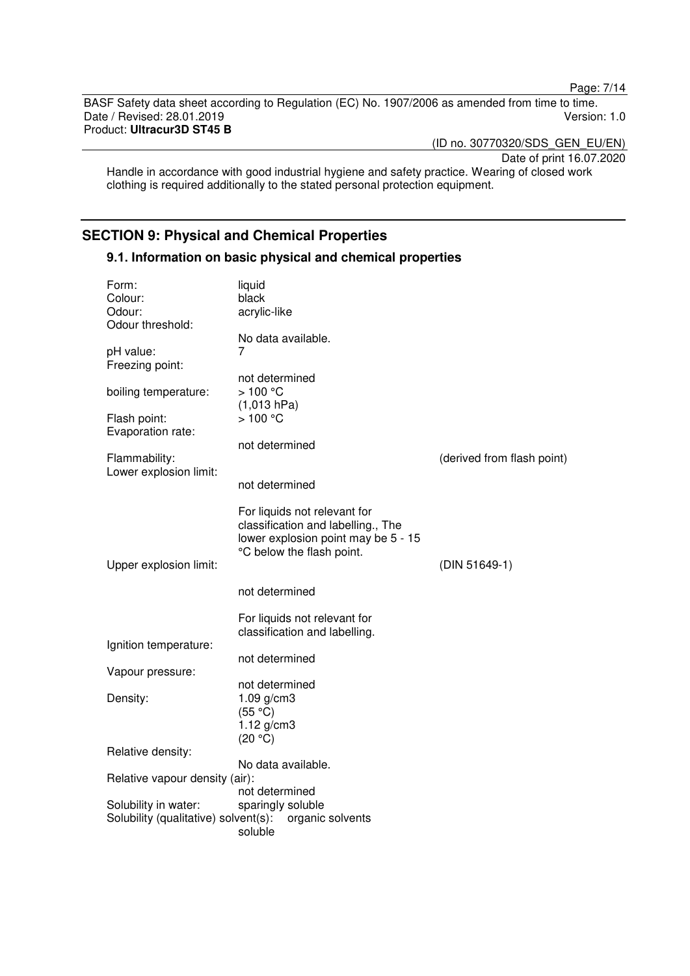Page: 7/14

BASF Safety data sheet according to Regulation (EC) No. 1907/2006 as amended from time to time. Date / Revised: 28.01.2019 Product: **Ultracur3D ST45 B** 

(ID no. 30770320/SDS\_GEN\_EU/EN)

Date of print 16.07.2020

Handle in accordance with good industrial hygiene and safety practice. Wearing of closed work clothing is required additionally to the stated personal protection equipment.

# **SECTION 9: Physical and Chemical Properties**

## **9.1. Information on basic physical and chemical properties**

| Form:<br>Colour:                     | liquid<br>black                                                    |                            |
|--------------------------------------|--------------------------------------------------------------------|----------------------------|
| Odour:                               | acrylic-like                                                       |                            |
| Odour threshold:                     |                                                                    |                            |
|                                      | No data available.                                                 |                            |
| pH value:                            | 7                                                                  |                            |
| Freezing point:                      |                                                                    |                            |
|                                      | not determined                                                     |                            |
| boiling temperature:                 | >100 °C                                                            |                            |
| Flash point:                         | (1,013 hPa)<br>>100 °C                                             |                            |
| Evaporation rate:                    |                                                                    |                            |
|                                      | not determined                                                     |                            |
| Flammability:                        |                                                                    | (derived from flash point) |
| Lower explosion limit:               |                                                                    |                            |
|                                      | not determined                                                     |                            |
|                                      |                                                                    |                            |
|                                      | For liquids not relevant for<br>classification and labelling., The |                            |
|                                      | lower explosion point may be 5 - 15                                |                            |
|                                      | °C below the flash point.                                          |                            |
| Upper explosion limit:               |                                                                    | (DIN 51649-1)              |
|                                      |                                                                    |                            |
|                                      | not determined                                                     |                            |
|                                      | For liquids not relevant for                                       |                            |
|                                      | classification and labelling.                                      |                            |
| Ignition temperature:                |                                                                    |                            |
|                                      | not determined                                                     |                            |
| Vapour pressure:                     |                                                                    |                            |
|                                      | not determined                                                     |                            |
| Density:                             | $1.09$ g/cm3                                                       |                            |
|                                      | (55 °C)                                                            |                            |
|                                      | $1.12$ g/cm3<br>(20 °C)                                            |                            |
| Relative density:                    |                                                                    |                            |
|                                      | No data available.                                                 |                            |
| Relative vapour density (air):       |                                                                    |                            |
|                                      | not determined                                                     |                            |
| Solubility in water:                 | sparingly soluble                                                  |                            |
| Solubility (qualitative) solvent(s): | organic solvents                                                   |                            |
|                                      | soluble                                                            |                            |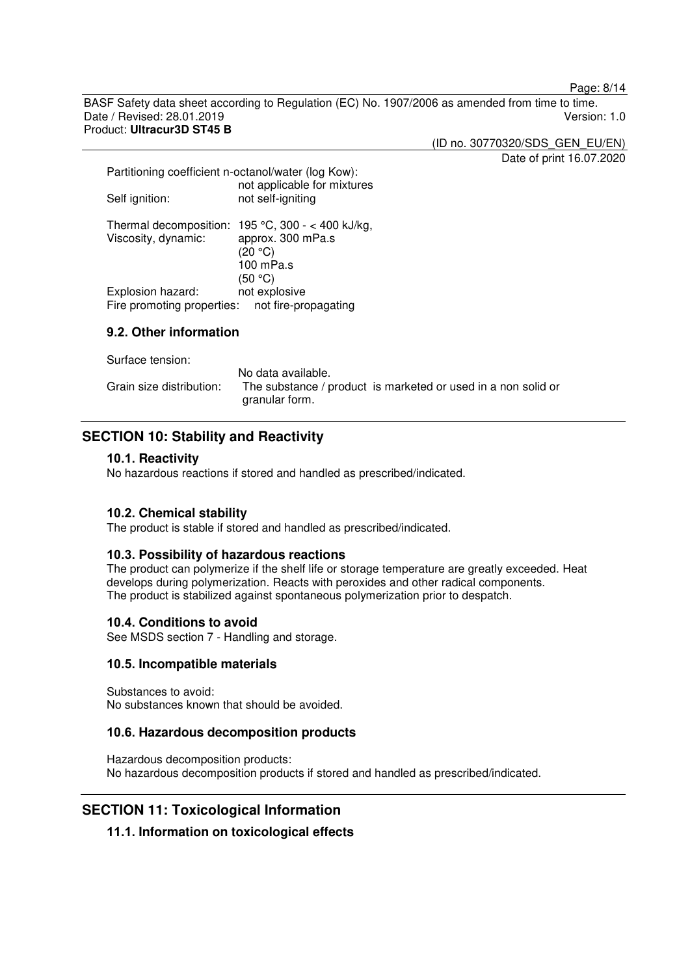Page: 8/14

BASF Safety data sheet according to Regulation (EC) No. 1907/2006 as amended from time to time. Date / Revised: 28.01.2019 Version: 1.0 Product: **Ultracur3D ST45 B** 

(ID no. 30770320/SDS\_GEN\_EU/EN)

Date of print 16.07.2020

| Partitioning coefficient n-octanol/water (log Kow):<br>not applicable for mixtures |                                                                                    |
|------------------------------------------------------------------------------------|------------------------------------------------------------------------------------|
| Self ignition:                                                                     | not self-igniting                                                                  |
| Thermal decomposition:<br>Viscosity, dynamic:                                      | 195 °C, 300 - < 400 kJ/kg,<br>approx. 300 mPa.s<br>(20 °C)<br>100 mPa.s<br>(50 °C) |
| Explosion hazard:                                                                  | not explosive                                                                      |
| Fire promoting properties: not fire-propagating                                    |                                                                                    |

## **9.2. Other information**

Surface tension:

|                          | No data available.                                                              |
|--------------------------|---------------------------------------------------------------------------------|
| Grain size distribution: | The substance / product is marketed or used in a non solid or<br>granular form. |

# **SECTION 10: Stability and Reactivity**

#### **10.1. Reactivity**

No hazardous reactions if stored and handled as prescribed/indicated.

## **10.2. Chemical stability**

The product is stable if stored and handled as prescribed/indicated.

## **10.3. Possibility of hazardous reactions**

The product can polymerize if the shelf life or storage temperature are greatly exceeded. Heat develops during polymerization. Reacts with peroxides and other radical components. The product is stabilized against spontaneous polymerization prior to despatch.

## **10.4. Conditions to avoid**

See MSDS section 7 - Handling and storage.

#### **10.5. Incompatible materials**

Substances to avoid: No substances known that should be avoided.

## **10.6. Hazardous decomposition products**

Hazardous decomposition products: No hazardous decomposition products if stored and handled as prescribed/indicated.

## **SECTION 11: Toxicological Information**

## **11.1. Information on toxicological effects**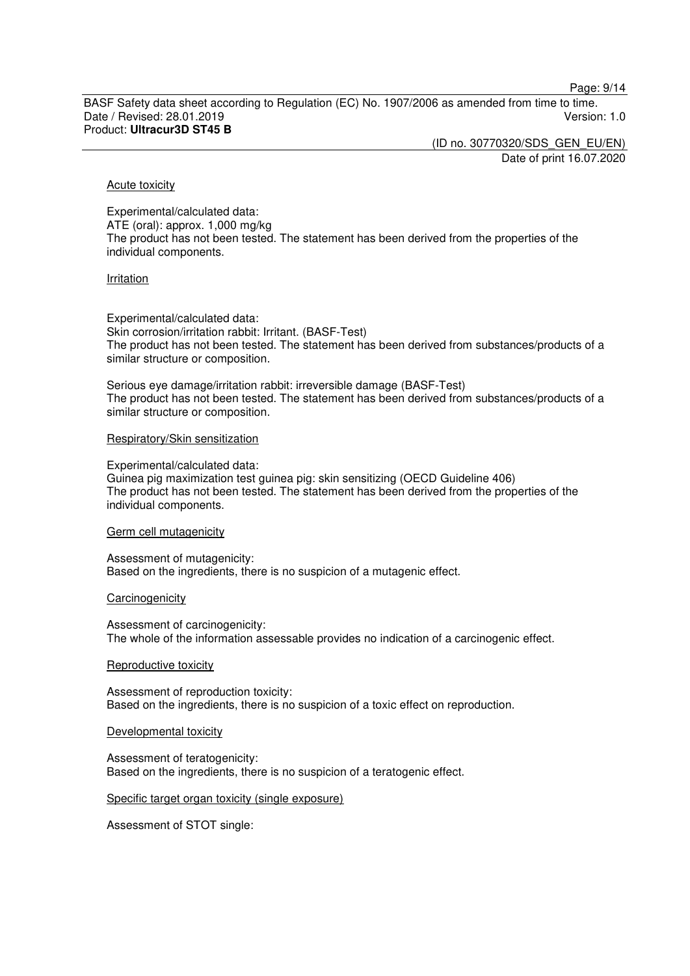Page: 9/14

BASF Safety data sheet according to Regulation (EC) No. 1907/2006 as amended from time to time. Date / Revised: 28.01.2019 Version: 1.0 Product: **Ultracur3D ST45 B** 

> (ID no. 30770320/SDS\_GEN\_EU/EN) Date of print 16.07.2020

#### Acute toxicity

Experimental/calculated data: ATE (oral): approx. 1,000 mg/kg The product has not been tested. The statement has been derived from the properties of the individual components.

#### Irritation

Experimental/calculated data: Skin corrosion/irritation rabbit: Irritant. (BASF-Test) The product has not been tested. The statement has been derived from substances/products of a similar structure or composition.

Serious eye damage/irritation rabbit: irreversible damage (BASF-Test) The product has not been tested. The statement has been derived from substances/products of a similar structure or composition.

#### Respiratory/Skin sensitization

Experimental/calculated data: Guinea pig maximization test guinea pig: skin sensitizing (OECD Guideline 406) The product has not been tested. The statement has been derived from the properties of the individual components.

Germ cell mutagenicity

Assessment of mutagenicity: Based on the ingredients, there is no suspicion of a mutagenic effect.

#### **Carcinogenicity**

Assessment of carcinogenicity: The whole of the information assessable provides no indication of a carcinogenic effect.

#### Reproductive toxicity

Assessment of reproduction toxicity: Based on the ingredients, there is no suspicion of a toxic effect on reproduction.

Developmental toxicity

Assessment of teratogenicity: Based on the ingredients, there is no suspicion of a teratogenic effect.

#### Specific target organ toxicity (single exposure)

Assessment of STOT single: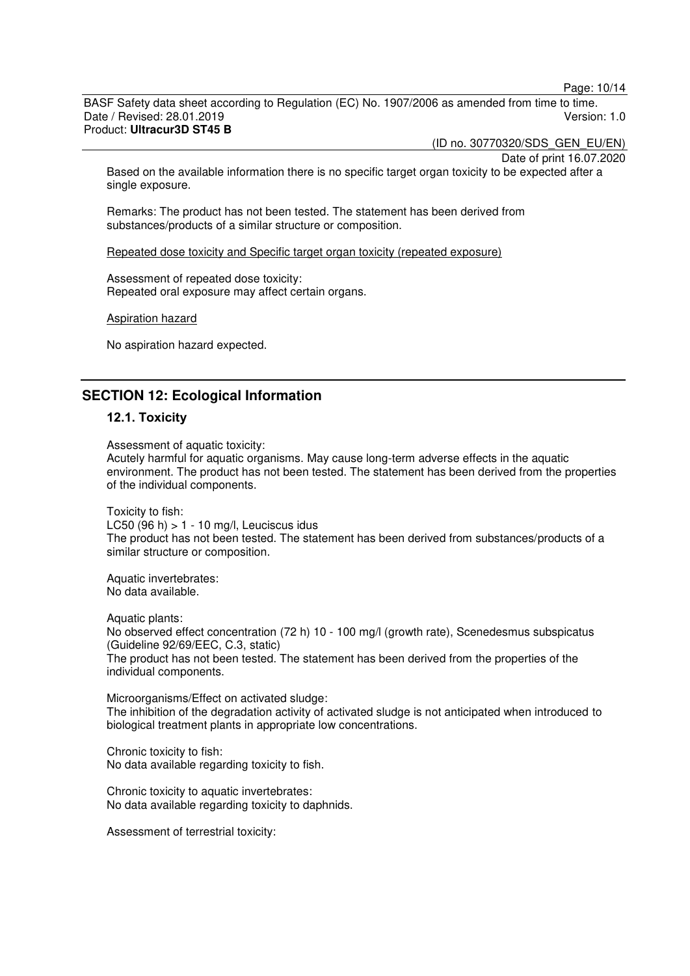Page: 10/14

BASF Safety data sheet according to Regulation (EC) No. 1907/2006 as amended from time to time. Date / Revised: 28.01.2019 Version: 1.0 Product: **Ultracur3D ST45 B** 

(ID no. 30770320/SDS\_GEN\_EU/EN)

Date of print 16.07.2020

Based on the available information there is no specific target organ toxicity to be expected after a single exposure.

Remarks: The product has not been tested. The statement has been derived from substances/products of a similar structure or composition.

Repeated dose toxicity and Specific target organ toxicity (repeated exposure)

Assessment of repeated dose toxicity: Repeated oral exposure may affect certain organs.

Aspiration hazard

No aspiration hazard expected.

# **SECTION 12: Ecological Information**

#### **12.1. Toxicity**

Assessment of aquatic toxicity: Acutely harmful for aquatic organisms. May cause long-term adverse effects in the aquatic environment. The product has not been tested. The statement has been derived from the properties of the individual components.

Toxicity to fish: LC50  $(96 h) > 1 - 10 mg/l$ , Leuciscus idus The product has not been tested. The statement has been derived from substances/products of a similar structure or composition.

Aquatic invertebrates: No data available.

Aquatic plants: No observed effect concentration (72 h) 10 - 100 mg/l (growth rate), Scenedesmus subspicatus (Guideline 92/69/EEC, C.3, static) The product has not been tested. The statement has been derived from the properties of the individual components.

Microorganisms/Effect on activated sludge: The inhibition of the degradation activity of activated sludge is not anticipated when introduced to biological treatment plants in appropriate low concentrations.

Chronic toxicity to fish: No data available regarding toxicity to fish.

Chronic toxicity to aquatic invertebrates: No data available regarding toxicity to daphnids.

Assessment of terrestrial toxicity: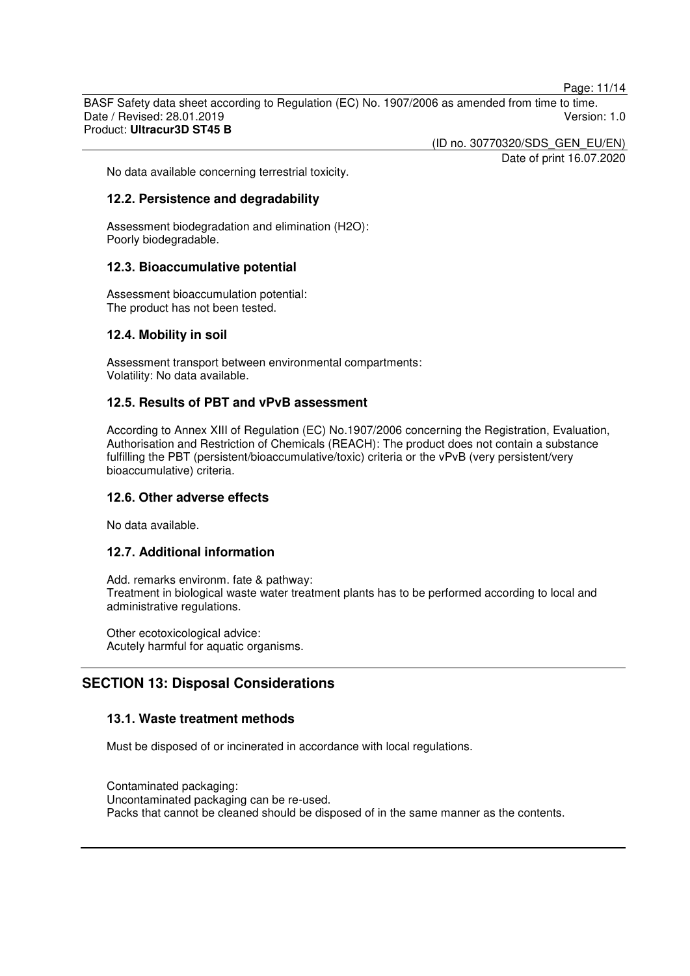Page: 11/14

BASF Safety data sheet according to Regulation (EC) No. 1907/2006 as amended from time to time. Date / Revised: 28.01.2019 Version: 1.0 Product: **Ultracur3D ST45 B** 

(ID no. 30770320/SDS\_GEN\_EU/EN)

Date of print 16.07.2020

No data available concerning terrestrial toxicity.

#### **12.2. Persistence and degradability**

Assessment biodegradation and elimination (H2O): Poorly biodegradable.

#### **12.3. Bioaccumulative potential**

Assessment bioaccumulation potential: The product has not been tested.

#### **12.4. Mobility in soil**

Assessment transport between environmental compartments: Volatility: No data available.

## **12.5. Results of PBT and vPvB assessment**

According to Annex XIII of Regulation (EC) No.1907/2006 concerning the Registration, Evaluation, Authorisation and Restriction of Chemicals (REACH): The product does not contain a substance fulfilling the PBT (persistent/bioaccumulative/toxic) criteria or the vPvB (very persistent/very bioaccumulative) criteria.

#### **12.6. Other adverse effects**

No data available.

## **12.7. Additional information**

Add. remarks environm. fate & pathway: Treatment in biological waste water treatment plants has to be performed according to local and administrative regulations.

Other ecotoxicological advice: Acutely harmful for aquatic organisms.

# **SECTION 13: Disposal Considerations**

## **13.1. Waste treatment methods**

Must be disposed of or incinerated in accordance with local regulations.

Contaminated packaging: Uncontaminated packaging can be re-used. Packs that cannot be cleaned should be disposed of in the same manner as the contents.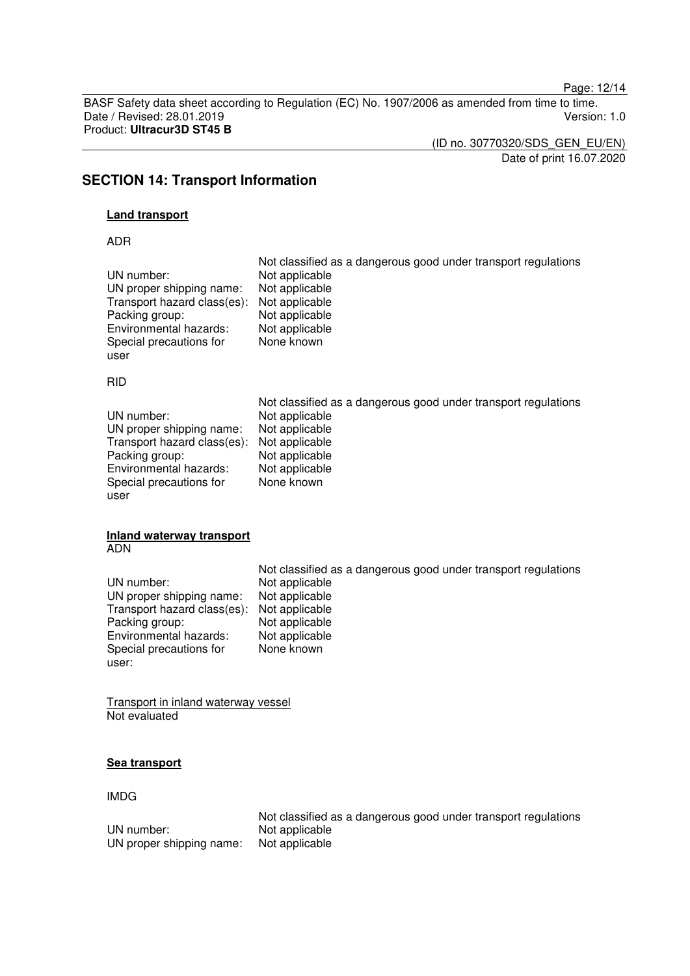Page: 12/14

BASF Safety data sheet according to Regulation (EC) No. 1907/2006 as amended from time to time. Date / Revised: 28.01.2019 Product: **Ultracur3D ST45 B** 

(ID no. 30770320/SDS\_GEN\_EU/EN)

Date of print 16.07.2020

# **SECTION 14: Transport Information**

## **Land transport**

ADR

| UN number:                  | Not classified as a dangerous good under transport regulations |
|-----------------------------|----------------------------------------------------------------|
| UN proper shipping name:    | Not applicable                                                 |
| Transport hazard class(es): | Not applicable                                                 |
| Packing group:              | Not applicable                                                 |
| Environmental hazards:      | Not applicable                                                 |
| Special precautions for     | Not applicable                                                 |
| user                        | None known                                                     |
|                             |                                                                |

RID

|                                            | Not classified as a dangerous good under transport regulations |
|--------------------------------------------|----------------------------------------------------------------|
| UN number:                                 | Not applicable                                                 |
| UN proper shipping name:                   | Not applicable                                                 |
| Transport hazard class(es): Not applicable |                                                                |
| Packing group:                             | Not applicable                                                 |
| Environmental hazards:                     | Not applicable                                                 |
| Special precautions for                    | None known                                                     |
| user                                       |                                                                |

#### **Inland waterway transport**  ADN

|                                            | Not classified as a dangerous good under transport regulations |
|--------------------------------------------|----------------------------------------------------------------|
| UN number:                                 | Not applicable                                                 |
| UN proper shipping name:                   | Not applicable                                                 |
| Transport hazard class(es): Not applicable |                                                                |
| Packing group:                             | Not applicable                                                 |
| Environmental hazards:                     | Not applicable                                                 |
| Special precautions for                    | None known                                                     |
| user:                                      |                                                                |

Transport in inland waterway vessel Not evaluated

## **Sea transport**

## IMDG

|                          | Not classified as a dangerous good under transport regulations |
|--------------------------|----------------------------------------------------------------|
| UN number:               | Not applicable                                                 |
| UN proper shipping name: | Not applicable                                                 |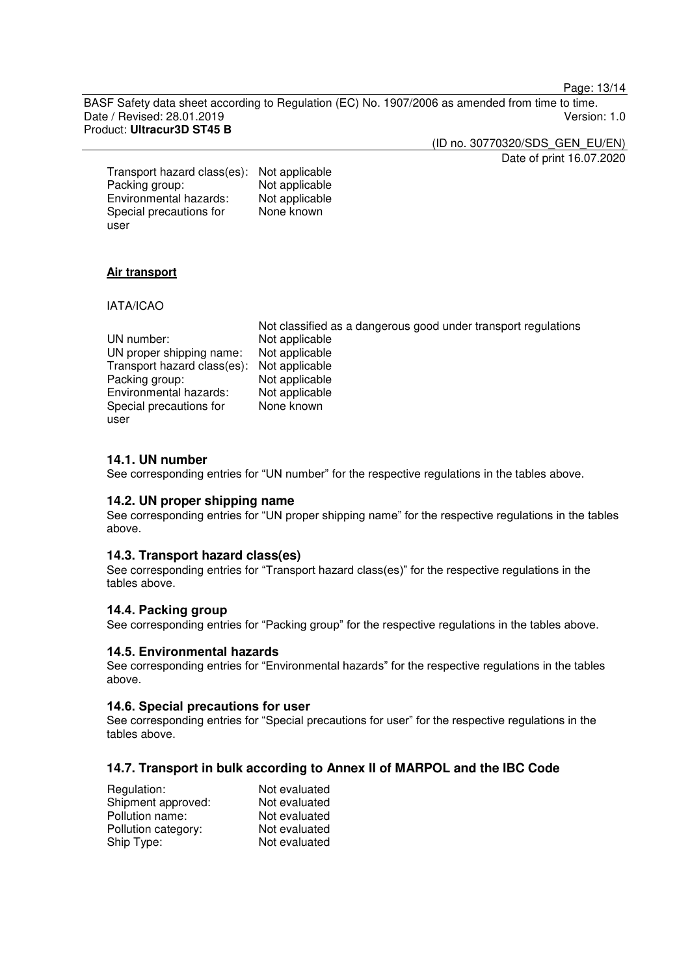Page: 13/14

BASF Safety data sheet according to Regulation (EC) No. 1907/2006 as amended from time to time. Date / Revised: 28.01.2019 Version: 1.0 Product: **Ultracur3D ST45 B** 

> (ID no. 30770320/SDS\_GEN\_EU/EN) Date of print 16.07.2020

Transport hazard class(es): Not applicable Packing group: Not applicable<br>
Environmental hazards: Not applicable Environmental hazards: Special precautions for user None known

## **Air transport**

IATA/ICAO

|                                            | Not classified as a dangerous good under transport regulations |
|--------------------------------------------|----------------------------------------------------------------|
| UN number:                                 | Not applicable                                                 |
| UN proper shipping name:                   | Not applicable                                                 |
| Transport hazard class(es): Not applicable |                                                                |
| Packing group:                             | Not applicable                                                 |
| Environmental hazards:                     | Not applicable                                                 |
| Special precautions for                    | None known                                                     |
| user                                       |                                                                |

## **14.1. UN number**

See corresponding entries for "UN number" for the respective regulations in the tables above.

#### **14.2. UN proper shipping name**

See corresponding entries for "UN proper shipping name" for the respective regulations in the tables above.

#### **14.3. Transport hazard class(es)**

See corresponding entries for "Transport hazard class(es)" for the respective regulations in the tables above.

#### **14.4. Packing group**

See corresponding entries for "Packing group" for the respective regulations in the tables above.

#### **14.5. Environmental hazards**

See corresponding entries for "Environmental hazards" for the respective regulations in the tables above.

#### **14.6. Special precautions for user**

See corresponding entries for "Special precautions for user" for the respective regulations in the tables above.

## **14.7. Transport in bulk according to Annex II of MARPOL and the IBC Code**

| Regulation:         | Not evaluated |
|---------------------|---------------|
| Shipment approved:  | Not evaluated |
| Pollution name:     | Not evaluated |
| Pollution category: | Not evaluated |
| Ship Type:          | Not evaluated |